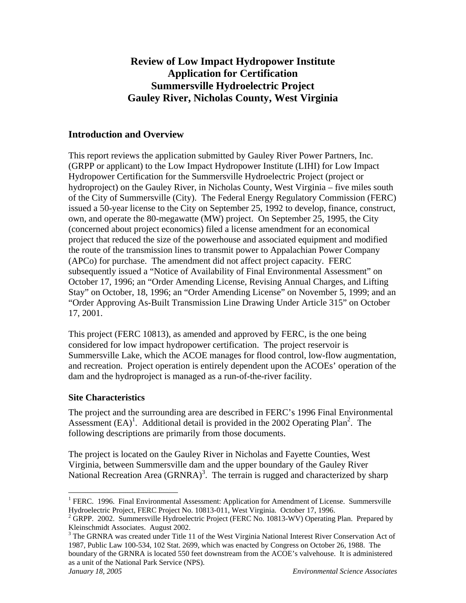# **Review of Low Impact Hydropower Institute Application for Certification Summersville Hydroelectric Project Gauley River, Nicholas County, West Virginia**

# **Introduction and Overview**

This report reviews the application submitted by Gauley River Power Partners, Inc. (GRPP or applicant) to the Low Impact Hydropower Institute (LIHI) for Low Impact Hydropower Certification for the Summersville Hydroelectric Project (project or hydroproject) on the Gauley River, in Nicholas County, West Virginia – five miles south of the City of Summersville (City). The Federal Energy Regulatory Commission (FERC) issued a 50-year license to the City on September 25, 1992 to develop, finance, construct, own, and operate the 80-megawatte (MW) project. On September 25, 1995, the City (concerned about project economics) filed a license amendment for an economical project that reduced the size of the powerhouse and associated equipment and modified the route of the transmission lines to transmit power to Appalachian Power Company (APCo) for purchase. The amendment did not affect project capacity. FERC subsequently issued a "Notice of Availability of Final Environmental Assessment" on October 17, 1996; an "Order Amending License, Revising Annual Charges, and Lifting Stay" on October, 18, 1996; an "Order Amending License" on November 5, 1999; and an "Order Approving As-Built Transmission Line Drawing Under Article 315" on October 17, 2001.

This project (FERC 10813), as amended and approved by FERC, is the one being considered for low impact hydropower certification. The project reservoir is Summersville Lake, which the ACOE manages for flood control, low-flow augmentation, and recreation. Project operation is entirely dependent upon the ACOEs' operation of the dam and the hydroproject is managed as a run-of-the-river facility.

# **Site Characteristics**

The project and the surrounding area are described in FERC's 1996 Final Environmental Assessment  $(EA)^1$ . Additional detail is provided in the 2002 Operating Plan<sup>2</sup>. The following descriptions are primarily from those documents.

The project is located on the Gauley River in Nicholas and Fayette Counties, West Virginia, between Summersville dam and the upper boundary of the Gauley River National Recreation Area  $(GRNRA)^3$ . The terrain is rugged and characterized by sharp

<sup>1</sup> <sup>1</sup> FERC. 1996. Final Environmental Assessment: Application for Amendment of License. Summersville Hydroelectric Project, FERC Project No. 10813-011, West Virginia. October 17, 1996.

<sup>&</sup>lt;sup>2</sup> GRPP. 2002. Summersville Hydroelectric Project (FERC No. 10813-WV) Operating Plan. Prepared by Kleinschmidt Associates. August 2002.

<sup>&</sup>lt;sup>3</sup> The GRNRA was created under Title 11 of the West Virginia National Interest River Conservation Act of 1987, Public Law 100-534, 102 Stat. 2699, which was enacted by Congress on October 26, 1988. The boundary of the GRNRA is located 550 feet downstream from the ACOE's valvehouse. It is administered as a unit of the National Park Service (NPS).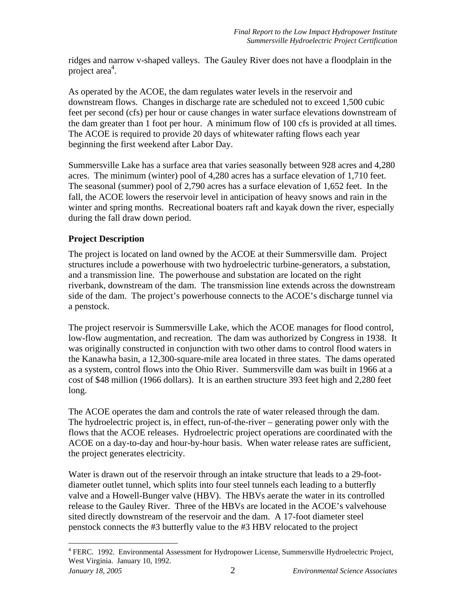ridges and narrow v-shaped valleys. The Gauley River does not have a floodplain in the project area $4$ .

As operated by the ACOE, the dam regulates water levels in the reservoir and downstream flows. Changes in discharge rate are scheduled not to exceed 1,500 cubic feet per second (cfs) per hour or cause changes in water surface elevations downstream of the dam greater than 1 foot per hour. A minimum flow of 100 cfs is provided at all times. The ACOE is required to provide 20 days of whitewater rafting flows each year beginning the first weekend after Labor Day.

Summersville Lake has a surface area that varies seasonally between 928 acres and 4,280 acres. The minimum (winter) pool of 4,280 acres has a surface elevation of 1,710 feet. The seasonal (summer) pool of 2,790 acres has a surface elevation of 1,652 feet. In the fall, the ACOE lowers the reservoir level in anticipation of heavy snows and rain in the winter and spring months. Recreational boaters raft and kayak down the river, especially during the fall draw down period.

# **Project Description**

The project is located on land owned by the ACOE at their Summersville dam. Project structures include a powerhouse with two hydroelectric turbine-generators, a substation, and a transmission line. The powerhouse and substation are located on the right riverbank, downstream of the dam. The transmission line extends across the downstream side of the dam. The project's powerhouse connects to the ACOE's discharge tunnel via a penstock.

The project reservoir is Summersville Lake, which the ACOE manages for flood control, low-flow augmentation, and recreation. The dam was authorized by Congress in 1938. It was originally constructed in conjunction with two other dams to control flood waters in the Kanawha basin, a 12,300-square-mile area located in three states. The dams operated as a system, control flows into the Ohio River. Summersville dam was built in 1966 at a cost of \$48 million (1966 dollars). It is an earthen structure 393 feet high and 2,280 feet long.

The ACOE operates the dam and controls the rate of water released through the dam. The hydroelectric project is, in effect, run-of-the-river – generating power only with the flows that the ACOE releases. Hydroelectric project operations are coordinated with the ACOE on a day-to-day and hour-by-hour basis. When water release rates are sufficient, the project generates electricity.

Water is drawn out of the reservoir through an intake structure that leads to a 29-footdiameter outlet tunnel, which splits into four steel tunnels each leading to a butterfly valve and a Howell-Bunger valve (HBV). The HBVs aerate the water in its controlled release to the Gauley River. Three of the HBVs are located in the ACOE's valvehouse sited directly downstream of the reservoir and the dam. A 17-foot diameter steel penstock connects the #3 butterfly value to the #3 HBV relocated to the project

1

*January 18, 2005* 2 *Environmental Science Associates*  <sup>4</sup> FERC. 1992. Environmental Assessment for Hydropower License, Summersville Hydroelectric Project, West Virginia. January 10, 1992.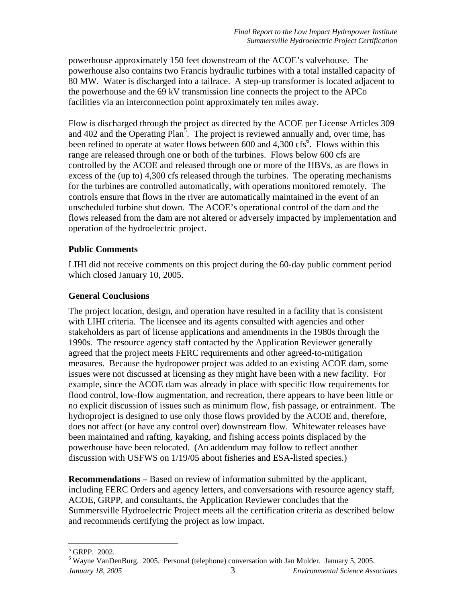powerhouse approximately 150 feet downstream of the ACOE's valvehouse. The powerhouse also contains two Francis hydraulic turbines with a total installed capacity of 80 MW. Water is discharged into a tailrace. A step-up transformer is located adjacent to the powerhouse and the 69 kV transmission line connects the project to the APCo facilities via an interconnection point approximately ten miles away.

Flow is discharged through the project as directed by the ACOE per License Articles 309 and 402 and the Operating Plan<sup>5</sup>. The project is reviewed annually and, over time, has been refined to operate at water flows between 600 and 4,300 cfs<sup>6</sup>. Flows within this range are released through one or both of the turbines. Flows below 600 cfs are controlled by the ACOE and released through one or more of the HBVs, as are flows in excess of the (up to) 4,300 cfs released through the turbines. The operating mechanisms for the turbines are controlled automatically, with operations monitored remotely. The controls ensure that flows in the river are automatically maintained in the event of an unscheduled turbine shut down. The ACOE's operational control of the dam and the flows released from the dam are not altered or adversely impacted by implementation and operation of the hydroelectric project.

### **Public Comments**

LIHI did not receive comments on this project during the 60-day public comment period which closed January 10, 2005.

#### **General Conclusions**

The project location, design, and operation have resulted in a facility that is consistent with LIHI criteria. The licensee and its agents consulted with agencies and other stakeholders as part of license applications and amendments in the 1980s through the 1990s. The resource agency staff contacted by the Application Reviewer generally agreed that the project meets FERC requirements and other agreed-to-mitigation measures. Because the hydropower project was added to an existing ACOE dam, some issues were not discussed at licensing as they might have been with a new facility. For example, since the ACOE dam was already in place with specific flow requirements for flood control, low-flow augmentation, and recreation, there appears to have been little or no explicit discussion of issues such as minimum flow, fish passage, or entrainment. The hydroproject is designed to use only those flows provided by the ACOE and, therefore, does not affect (or have any control over) downstream flow. Whitewater releases have been maintained and rafting, kayaking, and fishing access points displaced by the powerhouse have been relocated. (An addendum may follow to reflect another discussion with USFWS on 1/19/05 about fisheries and ESA-listed species.)

**Recommendations –** Based on review of information submitted by the applicant, including FERC Orders and agency letters, and conversations with resource agency staff, ACOE, GRPP, and consultants, the Application Reviewer concludes that the Summersville Hydroelectric Project meets all the certification criteria as described below and recommends certifying the project as low impact.

<sup>1</sup> 5 GRPP. 2002.

*January 18, 2005* 3 *Environmental Science Associates*  <sup>6</sup> Wayne VanDenBurg. 2005. Personal (telephone) conversation with Jan Mulder. January 5, 2005.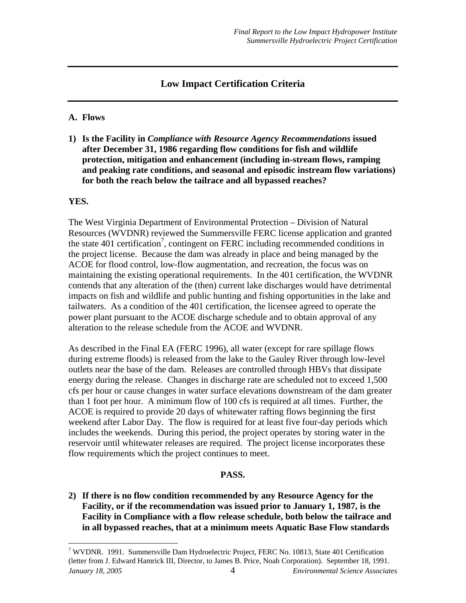# **Low Impact Certification Criteria**

#### **A. Flows**

**1) Is the Facility in** *Compliance with Resource Agency Recommendations* **issued after December 31, 1986 regarding flow conditions for fish and wildlife protection, mitigation and enhancement (including in-stream flows, ramping and peaking rate conditions, and seasonal and episodic instream flow variations) for both the reach below the tailrace and all bypassed reaches?** 

#### **YES.**

 $\overline{a}$ 

The West Virginia Department of Environmental Protection – Division of Natural Resources (WVDNR) reviewed the Summersville FERC license application and granted the state 401 certification<sup>7</sup>, contingent on FERC including recommended conditions in the project license. Because the dam was already in place and being managed by the ACOE for flood control, low-flow augmentation, and recreation, the focus was on maintaining the existing operational requirements. In the 401 certification, the WVDNR contends that any alteration of the (then) current lake discharges would have detrimental impacts on fish and wildlife and public hunting and fishing opportunities in the lake and tailwaters. As a condition of the 401 certification, the licensee agreed to operate the power plant pursuant to the ACOE discharge schedule and to obtain approval of any alteration to the release schedule from the ACOE and WVDNR.

As described in the Final EA (FERC 1996), all water (except for rare spillage flows during extreme floods) is released from the lake to the Gauley River through low-level outlets near the base of the dam. Releases are controlled through HBVs that dissipate energy during the release. Changes in discharge rate are scheduled not to exceed 1,500 cfs per hour or cause changes in water surface elevations downstream of the dam greater than 1 foot per hour. A minimum flow of 100 cfs is required at all times. Further, the ACOE is required to provide 20 days of whitewater rafting flows beginning the first weekend after Labor Day. The flow is required for at least five four-day periods which includes the weekends. During this period, the project operates by storing water in the reservoir until whitewater releases are required. The project license incorporates these flow requirements which the project continues to meet.

#### **PASS.**

**2) If there is no flow condition recommended by any Resource Agency for the Facility, or if the recommendation was issued prior to January 1, 1987, is the Facility in Compliance with a flow release schedule, both below the tailrace and in all bypassed reaches, that at a minimum meets Aquatic Base Flow standards** 

*January 18, 2005* 4 *Environmental Science Associates*  <sup>7</sup> WVDNR. 1991. Summersville Dam Hydroelectric Project, FERC No. 10813, State 401 Certification (letter from J. Edward Hamrick III, Director, to James B. Price, Noah Corporation). September 18, 1991.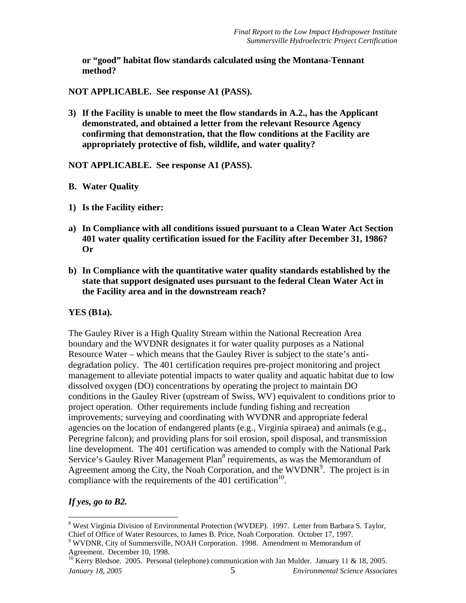**or "good" habitat flow standards calculated using the Montana-Tennant method?** 

**NOT APPLICABLE. See response A1 (PASS).** 

**3) If the Facility is unable to meet the flow standards in A.2., has the Applicant demonstrated, and obtained a letter from the relevant Resource Agency confirming that demonstration, that the flow conditions at the Facility are appropriately protective of fish, wildlife, and water quality?** 

**NOT APPLICABLE. See response A1 (PASS).** 

- **B. Water Quality**
- **1) Is the Facility either:**
- **a) In Compliance with all conditions issued pursuant to a Clean Water Act Section 401 water quality certification issued for the Facility after December 31, 1986? Or**
- **b) In Compliance with the quantitative water quality standards established by the state that support designated uses pursuant to the federal Clean Water Act in the Facility area and in the downstream reach?**

#### **YES (B1a).**

The Gauley River is a High Quality Stream within the National Recreation Area boundary and the WVDNR designates it for water quality purposes as a National Resource Water – which means that the Gauley River is subject to the state's antidegradation policy. The 401 certification requires pre-project monitoring and project management to alleviate potential impacts to water quality and aquatic habitat due to low dissolved oxygen (DO) concentrations by operating the project to maintain DO conditions in the Gauley River (upstream of Swiss, WV) equivalent to conditions prior to project operation. Other requirements include funding fishing and recreation improvements; surveying and coordinating with WVDNR and appropriate federal agencies on the location of endangered plants (e.g., Virginia spiraea) and animals (e.g., Peregrine falcon); and providing plans for soil erosion, spoil disposal, and transmission line development. The 401 certification was amended to comply with the National Park Service's Gauley River Management Plan<sup>8</sup> requirements, as was the Memorandum of Agreement among the City, the Noah Corporation, and the WVDNR<sup>9</sup>. The project is in compliance with the requirements of the 401 certification<sup>10</sup>.

#### *If yes, go to B2.*

1

<sup>&</sup>lt;sup>8</sup> West Virginia Division of Environmental Protection (WVDEP). 1997. Letter from Barbara S. Taylor, Chief of Office of Water Resources, to James B. Price, Noah Corporation. October 17, 1997.

<sup>&</sup>lt;sup>9</sup> WVDNR, City of Summersville, NOAH Corporation. 1998. Amendment to Memorandum of Agreement. December 10, 1998.

*January 18, 2005* 5 *Environmental Science Associates*   $^{10}$  Kerry Bledsoe. 2005. Personal (telephone) communication with Jan Mulder. January 11 & 18, 2005.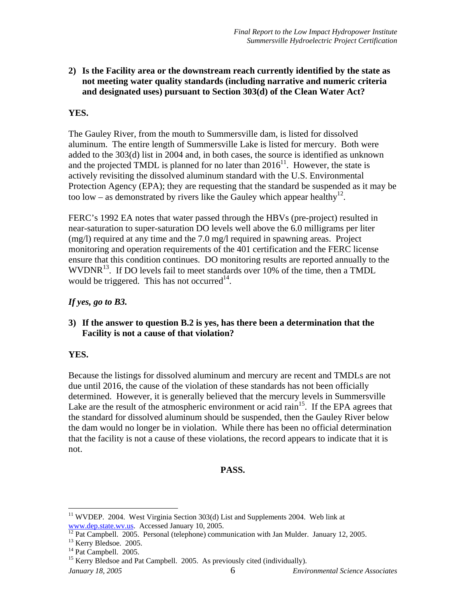# **2) Is the Facility area or the downstream reach currently identified by the state as not meeting water quality standards (including narrative and numeric criteria and designated uses) pursuant to Section 303(d) of the Clean Water Act?**

# **YES.**

The Gauley River, from the mouth to Summersville dam, is listed for dissolved aluminum. The entire length of Summersville Lake is listed for mercury. Both were added to the 303(d) list in 2004 and, in both cases, the source is identified as unknown and the projected TMDL is planned for no later than  $2016^{11}$ . However, the state is actively revisiting the dissolved aluminum standard with the U.S. Environmental Protection Agency (EPA); they are requesting that the standard be suspended as it may be too low – as demonstrated by rivers like the Gauley which appear healthy<sup>12</sup>.

FERC's 1992 EA notes that water passed through the HBVs (pre-project) resulted in near-saturation to super-saturation DO levels well above the 6.0 milligrams per liter (mg/l) required at any time and the 7.0 mg/l required in spawning areas. Project monitoring and operation requirements of the 401 certification and the FERC license ensure that this condition continues. DO monitoring results are reported annually to the WVDNR<sup>13</sup>. If DO levels fail to meet standards over 10% of the time, then a TMDL would be triggered. This has not occurred<sup>14</sup>.

# *If yes, go to B3.*

### **3) If the answer to question B.2 is yes, has there been a determination that the Facility is not a cause of that violation?**

# **YES.**

Because the listings for dissolved aluminum and mercury are recent and TMDLs are not due until 2016, the cause of the violation of these standards has not been officially determined. However, it is generally believed that the mercury levels in Summersville Lake are the result of the atmospheric environment or acid rain<sup>15</sup>. If the EPA agrees that the standard for dissolved aluminum should be suspended, then the Gauley River below the dam would no longer be in violation. While there has been no official determination that the facility is not a cause of these violations, the record appears to indicate that it is not.

# **PASS.**

<u>.</u>

 $11$  WVDEP. 2004. West Virginia Section 303(d) List and Supplements 2004. Web link at www.dep.state.wv.us. Accessed January 10, 2005.<br><sup>12</sup> Pat Campbell. 2005. Personal (telephone) communication with Jan Mulder. January 12, 2005.

<sup>&</sup>lt;sup>13</sup> Kerry Bledsoe. 2005.

<sup>&</sup>lt;sup>14</sup> Pat Campbell. 2005.

<sup>&</sup>lt;sup>15</sup> Kerry Bledsoe and Pat Campbell. 2005. As previously cited (individually).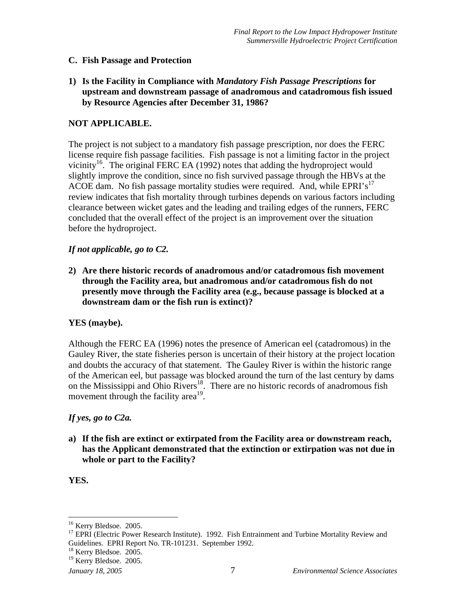#### **C. Fish Passage and Protection**

**1) Is the Facility in Compliance with** *Mandatory Fish Passage Prescriptions* **for upstream and downstream passage of anadromous and catadromous fish issued by Resource Agencies after December 31, 1986?** 

#### **NOT APPLICABLE.**

The project is not subject to a mandatory fish passage prescription, nor does the FERC license require fish passage facilities. Fish passage is not a limiting factor in the project vicinity<sup>16</sup>. The original FERC EA (1992) notes that adding the hydroproject would slightly improve the condition, since no fish survived passage through the HBVs at the ACOE dam. No fish passage mortality studies were required. And, while EPRI's<sup>17</sup> review indicates that fish mortality through turbines depends on various factors including clearance between wicket gates and the leading and trailing edges of the runners, FERC concluded that the overall effect of the project is an improvement over the situation before the hydroproject.

#### *If not applicable, go to C2.*

**2) Are there historic records of anadromous and/or catadromous fish movement through the Facility area, but anadromous and/or catadromous fish do not presently move through the Facility area (e.g., because passage is blocked at a downstream dam or the fish run is extinct)?** 

#### **YES (maybe).**

Although the FERC EA (1996) notes the presence of American eel (catadromous) in the Gauley River, the state fisheries person is uncertain of their history at the project location and doubts the accuracy of that statement. The Gauley River is within the historic range of the American eel, but passage was blocked around the turn of the last century by dams on the Mississippi and Ohio Rivers<sup>18</sup>. There are no historic records of anadromous fish movement through the facility area<sup>19</sup>.

#### *If yes, go to C2a.*

**a) If the fish are extinct or extirpated from the Facility area or downstream reach, has the Applicant demonstrated that the extinction or extirpation was not due in whole or part to the Facility?** 

#### **YES.**

1

<sup>&</sup>lt;sup>16</sup> Kerry Bledsoe. 2005.

<sup>&</sup>lt;sup>17</sup> EPRI (Electric Power Research Institute). 1992. Fish Entrainment and Turbine Mortality Review and Guidelines. EPRI Report No. TR-101231. September 1992.

 $18$  Kerry Bledsoe. 2005.

<sup>&</sup>lt;sup>19</sup> Kerry Bledsoe. 2005.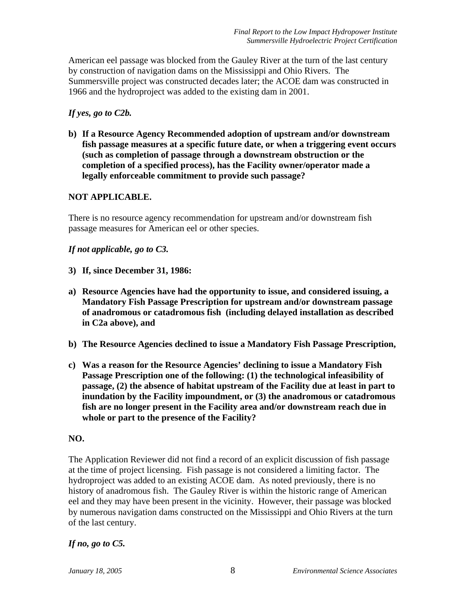American eel passage was blocked from the Gauley River at the turn of the last century by construction of navigation dams on the Mississippi and Ohio Rivers. The Summersville project was constructed decades later; the ACOE dam was constructed in 1966 and the hydroproject was added to the existing dam in 2001.

#### *If yes, go to C2b.*

**b) If a Resource Agency Recommended adoption of upstream and/or downstream fish passage measures at a specific future date, or when a triggering event occurs (such as completion of passage through a downstream obstruction or the completion of a specified process), has the Facility owner/operator made a legally enforceable commitment to provide such passage?** 

### **NOT APPLICABLE.**

There is no resource agency recommendation for upstream and/or downstream fish passage measures for American eel or other species.

### *If not applicable, go to C3.*

- **3) If, since December 31, 1986:**
- **a) Resource Agencies have had the opportunity to issue, and considered issuing, a Mandatory Fish Passage Prescription for upstream and/or downstream passage of anadromous or catadromous fish (including delayed installation as described in C2a above), and**
- **b) The Resource Agencies declined to issue a Mandatory Fish Passage Prescription,**
- **c) Was a reason for the Resource Agencies' declining to issue a Mandatory Fish Passage Prescription one of the following: (1) the technological infeasibility of passage, (2) the absence of habitat upstream of the Facility due at least in part to inundation by the Facility impoundment, or (3) the anadromous or catadromous fish are no longer present in the Facility area and/or downstream reach due in whole or part to the presence of the Facility?**

#### **NO.**

The Application Reviewer did not find a record of an explicit discussion of fish passage at the time of project licensing. Fish passage is not considered a limiting factor. The hydroproject was added to an existing ACOE dam. As noted previously, there is no history of anadromous fish. The Gauley River is within the historic range of American eel and they may have been present in the vicinity. However, their passage was blocked by numerous navigation dams constructed on the Mississippi and Ohio Rivers at the turn of the last century.

#### *If no, go to C5.*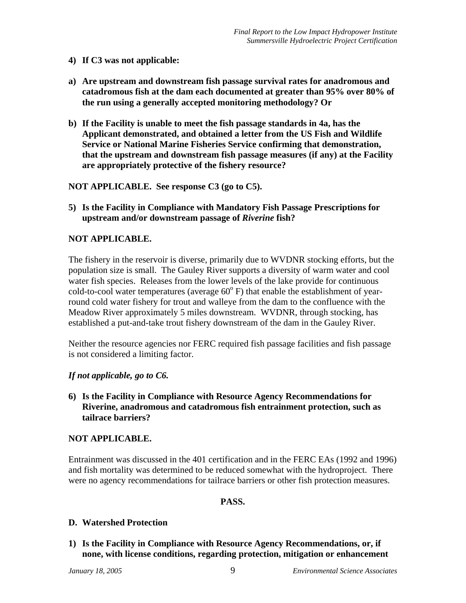- **4) If C3 was not applicable:**
- **a) Are upstream and downstream fish passage survival rates for anadromous and catadromous fish at the dam each documented at greater than 95% over 80% of the run using a generally accepted monitoring methodology? Or**
- **b) If the Facility is unable to meet the fish passage standards in 4a, has the Applicant demonstrated, and obtained a letter from the US Fish and Wildlife Service or National Marine Fisheries Service confirming that demonstration, that the upstream and downstream fish passage measures (if any) at the Facility are appropriately protective of the fishery resource?**

**NOT APPLICABLE. See response C3 (go to C5).** 

**5) Is the Facility in Compliance with Mandatory Fish Passage Prescriptions for upstream and/or downstream passage of** *Riverine* **fish?** 

# **NOT APPLICABLE.**

The fishery in the reservoir is diverse, primarily due to WVDNR stocking efforts, but the population size is small. The Gauley River supports a diversity of warm water and cool water fish species. Releases from the lower levels of the lake provide for continuous cold-to-cool water temperatures (average  $60^{\circ}$  F) that enable the establishment of yearround cold water fishery for trout and walleye from the dam to the confluence with the Meadow River approximately 5 miles downstream. WVDNR, through stocking, has established a put-and-take trout fishery downstream of the dam in the Gauley River.

Neither the resource agencies nor FERC required fish passage facilities and fish passage is not considered a limiting factor.

#### *If not applicable, go to C6.*

**6) Is the Facility in Compliance with Resource Agency Recommendations for Riverine, anadromous and catadromous fish entrainment protection, such as tailrace barriers?** 

#### **NOT APPLICABLE.**

Entrainment was discussed in the 401 certification and in the FERC EAs (1992 and 1996) and fish mortality was determined to be reduced somewhat with the hydroproject. There were no agency recommendations for tailrace barriers or other fish protection measures.

#### **PASS.**

# **D. Watershed Protection**

**1) Is the Facility in Compliance with Resource Agency Recommendations, or, if none, with license conditions, regarding protection, mitigation or enhancement**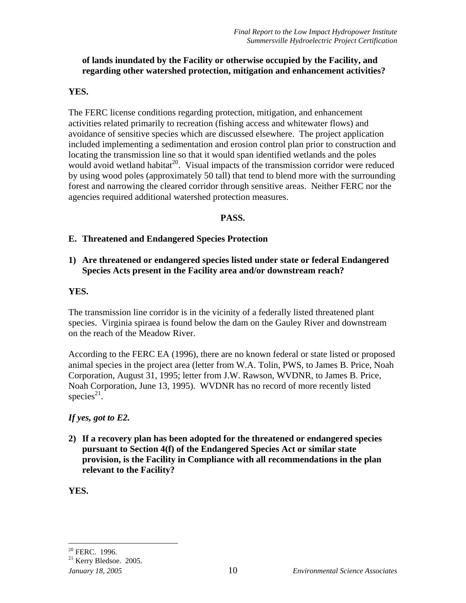# **of lands inundated by the Facility or otherwise occupied by the Facility, and regarding other watershed protection, mitigation and enhancement activities?**

#### **YES.**

The FERC license conditions regarding protection, mitigation, and enhancement activities related primarily to recreation (fishing access and whitewater flows) and avoidance of sensitive species which are discussed elsewhere. The project application included implementing a sedimentation and erosion control plan prior to construction and locating the transmission line so that it would span identified wetlands and the poles would avoid wetland habitat<sup>20</sup>. Visual impacts of the transmission corridor were reduced by using wood poles (approximately 50 tall) that tend to blend more with the surrounding forest and narrowing the cleared corridor through sensitive areas. Neither FERC nor the agencies required additional watershed protection measures.

### **PASS.**

### **E. Threatened and Endangered Species Protection**

# **1) Are threatened or endangered species listed under state or federal Endangered Species Acts present in the Facility area and/or downstream reach?**

#### **YES.**

The transmission line corridor is in the vicinity of a federally listed threatened plant species. Virginia spiraea is found below the dam on the Gauley River and downstream on the reach of the Meadow River.

According to the FERC EA (1996), there are no known federal or state listed or proposed animal species in the project area (letter from W.A. Tolin, PWS, to James B. Price, Noah Corporation, August 31, 1995; letter from J.W. Rawson, WVDNR, to James B. Price, Noah Corporation, June 13, 1995). WVDNR has no record of more recently listed species $21$ .

# *If yes, got to E2.*

**2) If a recovery plan has been adopted for the threatened or endangered species pursuant to Section 4(f) of the Endangered Species Act or similar state provision, is the Facility in Compliance with all recommendations in the plan relevant to the Facility?** 

**YES.** 

 $\overline{a}$  $20$  FERC. 1996.

<sup>21</sup> Kerry Bledsoe. 2005.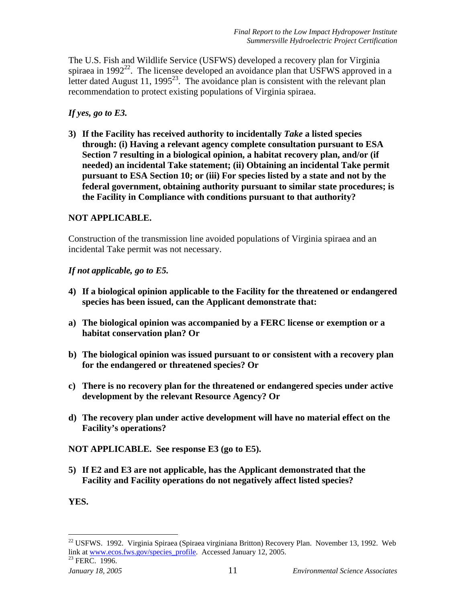The U.S. Fish and Wildlife Service (USFWS) developed a recovery plan for Virginia spiraea in  $1992^{22}$ . The licensee developed an avoidance plan that USFWS approved in a letter dated August 11, 1995<sup>23</sup>. The avoidance plan is consistent with the relevant plan recommendation to protect existing populations of Virginia spiraea.

### *If yes, go to E3.*

**3) If the Facility has received authority to incidentally** *Take* **a listed species through: (i) Having a relevant agency complete consultation pursuant to ESA Section 7 resulting in a biological opinion, a habitat recovery plan, and/or (if needed) an incidental Take statement; (ii) Obtaining an incidental Take permit pursuant to ESA Section 10; or (iii) For species listed by a state and not by the federal government, obtaining authority pursuant to similar state procedures; is the Facility in Compliance with conditions pursuant to that authority?** 

### **NOT APPLICABLE.**

Construction of the transmission line avoided populations of Virginia spiraea and an incidental Take permit was not necessary.

### *If not applicable, go to E5.*

- **4) If a biological opinion applicable to the Facility for the threatened or endangered species has been issued, can the Applicant demonstrate that:**
- **a) The biological opinion was accompanied by a FERC license or exemption or a habitat conservation plan? Or**
- **b) The biological opinion was issued pursuant to or consistent with a recovery plan for the endangered or threatened species? Or**
- **c) There is no recovery plan for the threatened or endangered species under active development by the relevant Resource Agency? Or**
- **d) The recovery plan under active development will have no material effect on the Facility's operations?**

**NOT APPLICABLE. See response E3 (go to E5).** 

**5) If E2 and E3 are not applicable, has the Applicant demonstrated that the Facility and Facility operations do not negatively affect listed species?** 

**YES.** 

<u>.</u>

 $^{22}$  USFWS. 1992. Virginia Spiraea (Spiraea virginiana Britton) Recovery Plan. November 13, 1992. Web link at www.ecos.fws.gov/species\_profile. Accessed January 12, 2005.<br><sup>23</sup> FERC. 1996.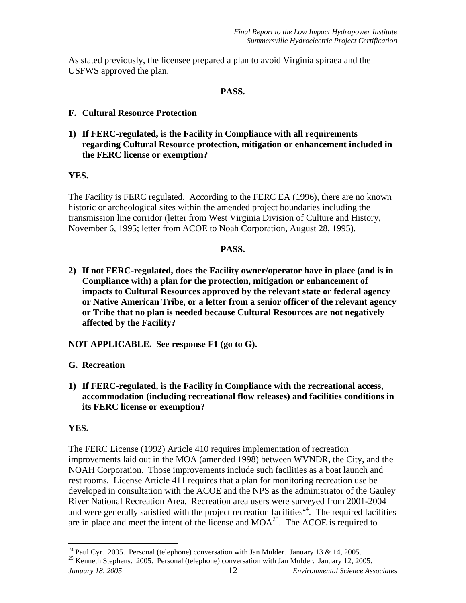As stated previously, the licensee prepared a plan to avoid Virginia spiraea and the USFWS approved the plan.

#### **PASS.**

- **F. Cultural Resource Protection**
- **1) If FERC-regulated, is the Facility in Compliance with all requirements regarding Cultural Resource protection, mitigation or enhancement included in the FERC license or exemption?**

### **YES.**

The Facility is FERC regulated. According to the FERC EA (1996), there are no known historic or archeological sites within the amended project boundaries including the transmission line corridor (letter from West Virginia Division of Culture and History, November 6, 1995; letter from ACOE to Noah Corporation, August 28, 1995).

#### **PASS.**

**2) If not FERC-regulated, does the Facility owner/operator have in place (and is in Compliance with) a plan for the protection, mitigation or enhancement of impacts to Cultural Resources approved by the relevant state or federal agency or Native American Tribe, or a letter from a senior officer of the relevant agency or Tribe that no plan is needed because Cultural Resources are not negatively affected by the Facility?** 

**NOT APPLICABLE. See response F1 (go to G).** 

**G. Recreation** 

**1) If FERC-regulated, is the Facility in Compliance with the recreational access, accommodation (including recreational flow releases) and facilities conditions in its FERC license or exemption?** 

# **YES.**

1

The FERC License (1992) Article 410 requires implementation of recreation improvements laid out in the MOA (amended 1998) between WVNDR, the City, and the NOAH Corporation. Those improvements include such facilities as a boat launch and rest rooms. License Article 411 requires that a plan for monitoring recreation use be developed in consultation with the ACOE and the NPS as the administrator of the Gauley River National Recreation Area. Recreation area users were surveyed from 2001-2004 and were generally satisfied with the project recreation facilities<sup> $24$ </sup>. The required facilities are in place and meet the intent of the license and  $MOA<sup>25</sup>$ . The ACOE is required to

*January 18, 2005* 12 *Environmental Science Associates*  <sup>25</sup> Kenneth Stephens. 2005. Personal (telephone) conversation with Jan Mulder. January 12, 2005.

<sup>&</sup>lt;sup>24</sup> Paul Cyr. 2005. Personal (telephone) conversation with Jan Mulder. January 13 & 14, 2005.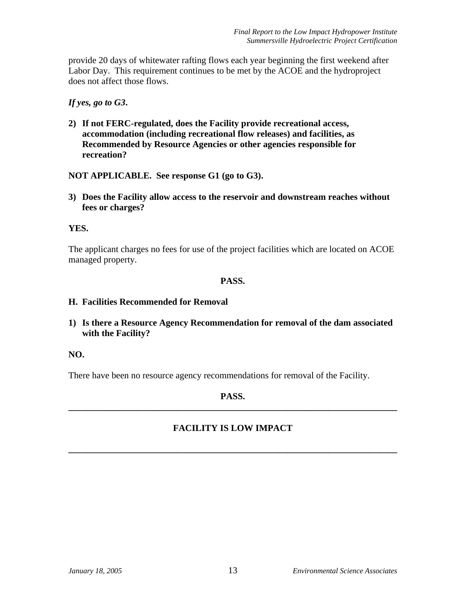provide 20 days of whitewater rafting flows each year beginning the first weekend after Labor Day. This requirement continues to be met by the ACOE and the hydroproject does not affect those flows.

*If yes, go to G3***.** 

**2) If not FERC-regulated, does the Facility provide recreational access, accommodation (including recreational flow releases) and facilities, as Recommended by Resource Agencies or other agencies responsible for recreation?** 

**NOT APPLICABLE. See response G1 (go to G3).** 

**3) Does the Facility allow access to the reservoir and downstream reaches without fees or charges?** 

# **YES.**

The applicant charges no fees for use of the project facilities which are located on ACOE managed property.

### **PASS.**

#### **H. Facilities Recommended for Removal**

**1) Is there a Resource Agency Recommendation for removal of the dam associated with the Facility?** 

# **NO.**

There have been no resource agency recommendations for removal of the Facility.

### **PASS. \_\_\_\_\_\_\_\_\_\_\_\_\_\_\_\_\_\_\_\_\_\_\_\_\_\_\_\_\_\_\_\_\_\_\_\_\_\_\_\_\_\_\_\_\_\_\_\_\_\_\_\_\_\_\_\_\_\_\_\_\_\_\_\_\_\_\_\_\_\_\_\_**

# **FACILITY IS LOW IMPACT**

**\_\_\_\_\_\_\_\_\_\_\_\_\_\_\_\_\_\_\_\_\_\_\_\_\_\_\_\_\_\_\_\_\_\_\_\_\_\_\_\_\_\_\_\_\_\_\_\_\_\_\_\_\_\_\_\_\_\_\_\_\_\_\_\_\_\_\_\_\_\_\_\_**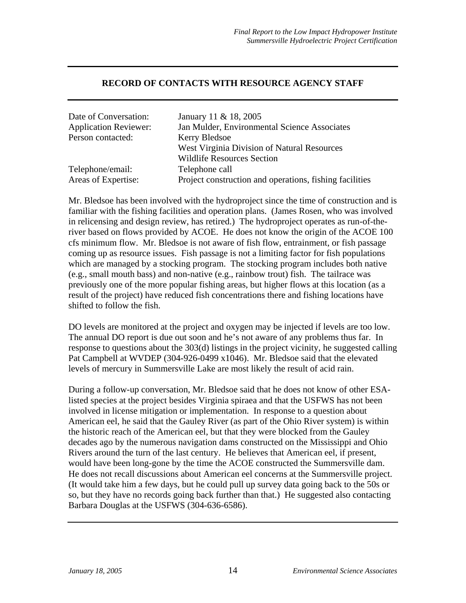#### **RECORD OF CONTACTS WITH RESOURCE AGENCY STAFF**

| Date of Conversation:        | January 11 & 18, 2005                                   |
|------------------------------|---------------------------------------------------------|
| <b>Application Reviewer:</b> | Jan Mulder, Environmental Science Associates            |
| Person contacted:            | Kerry Bledsoe                                           |
|                              | West Virginia Division of Natural Resources             |
|                              | <b>Wildlife Resources Section</b>                       |
| Telephone/email:             | Telephone call                                          |
| Areas of Expertise:          | Project construction and operations, fishing facilities |

Mr. Bledsoe has been involved with the hydroproject since the time of construction and is familiar with the fishing facilities and operation plans. (James Rosen, who was involved in relicensing and design review, has retired.) The hydroproject operates as run-of-theriver based on flows provided by ACOE. He does not know the origin of the ACOE 100 cfs minimum flow. Mr. Bledsoe is not aware of fish flow, entrainment, or fish passage coming up as resource issues. Fish passage is not a limiting factor for fish populations which are managed by a stocking program. The stocking program includes both native (e.g., small mouth bass) and non-native (e.g., rainbow trout) fish. The tailrace was previously one of the more popular fishing areas, but higher flows at this location (as a result of the project) have reduced fish concentrations there and fishing locations have shifted to follow the fish.

DO levels are monitored at the project and oxygen may be injected if levels are too low. The annual DO report is due out soon and he's not aware of any problems thus far. In response to questions about the 303(d) listings in the project vicinity, he suggested calling Pat Campbell at WVDEP (304-926-0499 x1046). Mr. Bledsoe said that the elevated levels of mercury in Summersville Lake are most likely the result of acid rain.

During a follow-up conversation, Mr. Bledsoe said that he does not know of other ESAlisted species at the project besides Virginia spiraea and that the USFWS has not been involved in license mitigation or implementation. In response to a question about American eel, he said that the Gauley River (as part of the Ohio River system) is within the historic reach of the American eel, but that they were blocked from the Gauley decades ago by the numerous navigation dams constructed on the Mississippi and Ohio Rivers around the turn of the last century. He believes that American eel, if present, would have been long-gone by the time the ACOE constructed the Summersville dam. He does not recall discussions about American eel concerns at the Summersville project. (It would take him a few days, but he could pull up survey data going back to the 50s or so, but they have no records going back further than that.) He suggested also contacting Barbara Douglas at the USFWS (304-636-6586).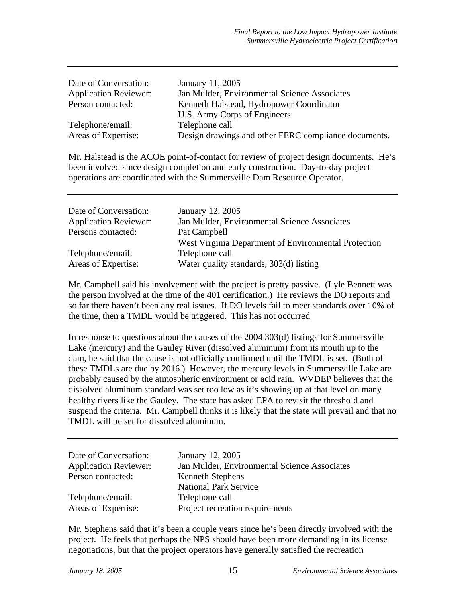| Date of Conversation:        | January 11, 2005                                     |
|------------------------------|------------------------------------------------------|
| <b>Application Reviewer:</b> | Jan Mulder, Environmental Science Associates         |
| Person contacted:            | Kenneth Halstead, Hydropower Coordinator             |
|                              | U.S. Army Corps of Engineers                         |
| Telephone/email:             | Telephone call                                       |
| Areas of Expertise:          | Design drawings and other FERC compliance documents. |

Mr. Halstead is the ACOE point-of-contact for review of project design documents. He's been involved since design completion and early construction. Day-to-day project operations are coordinated with the Summersville Dam Resource Operator.

| Date of Conversation:        | January 12, 2005                                     |
|------------------------------|------------------------------------------------------|
| <b>Application Reviewer:</b> | Jan Mulder, Environmental Science Associates         |
| Persons contacted:           | Pat Campbell                                         |
|                              | West Virginia Department of Environmental Protection |
| Telephone/email:             | Telephone call                                       |
| Areas of Expertise:          | Water quality standards, 303(d) listing              |

Mr. Campbell said his involvement with the project is pretty passive. (Lyle Bennett was the person involved at the time of the 401 certification.) He reviews the DO reports and so far there haven't been any real issues. If DO levels fail to meet standards over 10% of the time, then a TMDL would be triggered. This has not occurred

In response to questions about the causes of the 2004 303(d) listings for Summersville Lake (mercury) and the Gauley River (dissolved aluminum) from its mouth up to the dam, he said that the cause is not officially confirmed until the TMDL is set. (Both of these TMDLs are due by 2016.) However, the mercury levels in Summersville Lake are probably caused by the atmospheric environment or acid rain. WVDEP believes that the dissolved aluminum standard was set too low as it's showing up at that level on many healthy rivers like the Gauley. The state has asked EPA to revisit the threshold and suspend the criteria. Mr. Campbell thinks it is likely that the state will prevail and that no TMDL will be set for dissolved aluminum.

| Date of Conversation:<br><b>Application Reviewer:</b> | January 12, 2005<br>Jan Mulder, Environmental Science Associates |
|-------------------------------------------------------|------------------------------------------------------------------|
| Person contacted:                                     | Kenneth Stephens                                                 |
|                                                       | <b>National Park Service</b>                                     |
| Telephone/email:                                      | Telephone call                                                   |
| Areas of Expertise:                                   | Project recreation requirements                                  |

Mr. Stephens said that it's been a couple years since he's been directly involved with the project. He feels that perhaps the NPS should have been more demanding in its license negotiations, but that the project operators have generally satisfied the recreation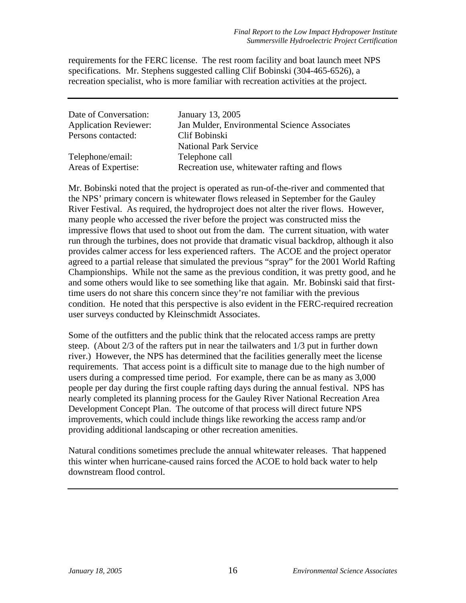requirements for the FERC license. The rest room facility and boat launch meet NPS specifications. Mr. Stephens suggested calling Clif Bobinski (304-465-6526), a recreation specialist, who is more familiar with recreation activities at the project.

| Date of Conversation:        | January 13, 2005                             |
|------------------------------|----------------------------------------------|
| <b>Application Reviewer:</b> | Jan Mulder, Environmental Science Associates |
| Persons contacted:           | Clif Bobinski                                |
|                              | <b>National Park Service</b>                 |
| Telephone/email:             | Telephone call                               |
| Areas of Expertise:          | Recreation use, whitewater rafting and flows |

Mr. Bobinski noted that the project is operated as run-of-the-river and commented that the NPS' primary concern is whitewater flows released in September for the Gauley River Festival. As required, the hydroproject does not alter the river flows. However, many people who accessed the river before the project was constructed miss the impressive flows that used to shoot out from the dam. The current situation, with water run through the turbines, does not provide that dramatic visual backdrop, although it also provides calmer access for less experienced rafters. The ACOE and the project operator agreed to a partial release that simulated the previous "spray" for the 2001 World Rafting Championships. While not the same as the previous condition, it was pretty good, and he and some others would like to see something like that again. Mr. Bobinski said that firsttime users do not share this concern since they're not familiar with the previous condition. He noted that this perspective is also evident in the FERC-required recreation user surveys conducted by Kleinschmidt Associates.

Some of the outfitters and the public think that the relocated access ramps are pretty steep. (About 2/3 of the rafters put in near the tailwaters and 1/3 put in further down river.) However, the NPS has determined that the facilities generally meet the license requirements. That access point is a difficult site to manage due to the high number of users during a compressed time period. For example, there can be as many as 3,000 people per day during the first couple rafting days during the annual festival. NPS has nearly completed its planning process for the Gauley River National Recreation Area Development Concept Plan. The outcome of that process will direct future NPS improvements, which could include things like reworking the access ramp and/or providing additional landscaping or other recreation amenities.

Natural conditions sometimes preclude the annual whitewater releases. That happened this winter when hurricane-caused rains forced the ACOE to hold back water to help downstream flood control.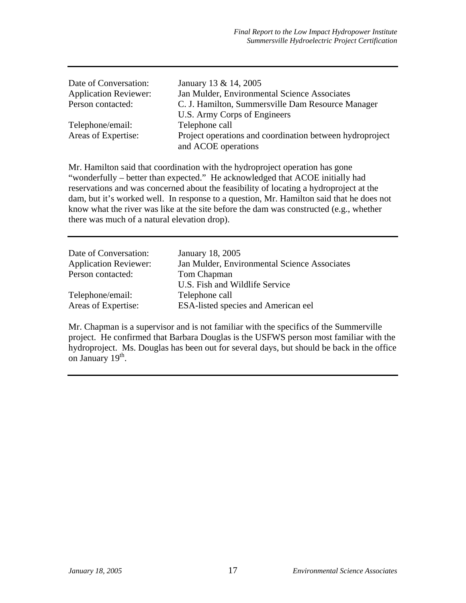| Date of Conversation:        | January 13 & 14, 2005                                    |
|------------------------------|----------------------------------------------------------|
| <b>Application Reviewer:</b> | Jan Mulder, Environmental Science Associates             |
| Person contacted:            | C. J. Hamilton, Summersville Dam Resource Manager        |
|                              | U.S. Army Corps of Engineers                             |
| Telephone/email:             | Telephone call                                           |
| Areas of Expertise:          | Project operations and coordination between hydroproject |
|                              | and ACOE operations                                      |

Mr. Hamilton said that coordination with the hydroproject operation has gone "wonderfully – better than expected." He acknowledged that ACOE initially had reservations and was concerned about the feasibility of locating a hydroproject at the dam, but it's worked well. In response to a question, Mr. Hamilton said that he does not know what the river was like at the site before the dam was constructed (e.g., whether there was much of a natural elevation drop).

| Date of Conversation:        | January 18, 2005                             |
|------------------------------|----------------------------------------------|
| <b>Application Reviewer:</b> | Jan Mulder, Environmental Science Associates |
| Person contacted:            | Tom Chapman                                  |
|                              | U.S. Fish and Wildlife Service               |
| Telephone/email:             | Telephone call                               |
| Areas of Expertise:          | <b>ESA-listed species and American eel</b>   |
|                              |                                              |

Mr. Chapman is a supervisor and is not familiar with the specifics of the Summerville project. He confirmed that Barbara Douglas is the USFWS person most familiar with the hydroproject. Ms. Douglas has been out for several days, but should be back in the office on January  $19<sup>th</sup>$ .